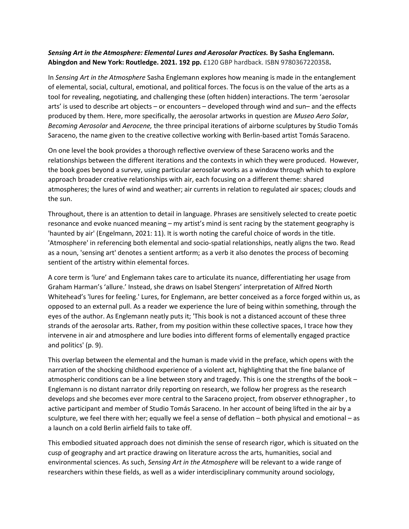## *Sensing Art in the Atmosphere: Elemental Lures and Aerosolar Practices.* **By Sasha Englemann. Abingdon and New York: Routledge. 2021. 192 pp.** £120 GBP hardback. ISBN 9780367220358**.**

In *Sensing Art in the Atmosphere* Sasha Englemann explores how meaning is made in the entanglement of elemental, social, cultural, emotional, and political forces. The focus is on the value of the arts as a tool for revealing, negotiating, and challenging these (often hidden) interactions. The term 'aerosolar arts' is used to describe art objects – or encounters – developed through wind and sun– and the effects produced by them. Here, more specifically, the aerosolar artworks in question are *Museo Aero Solar*, *Becoming Aerosolar* and *Aerocene,* the three principal iterations of airborne sculptures by Studio Tomás Saraceno, the name given to the creative collective working with Berlin-based artist Tomás Saraceno.

On one level the book provides a thorough reflective overview of these Saraceno works and the relationships between the different iterations and the contexts in which they were produced. However, the book goes beyond a survey, using particular aerosolar works as a window through which to explore approach broader creative relationships with air, each focusing on a different theme: shared atmospheres; the lures of wind and weather; air currents in relation to regulated air spaces; clouds and the sun.

Throughout, there is an attention to detail in language. Phrases are sensitively selected to create poetic resonance and evoke nuanced meaning – my artist's mind is sent racing by the statement geography is 'haunted by air' (Engelmann, 2021: 11). It is worth noting the careful choice of words in the title. 'Atmosphere' in referencing both elemental and socio-spatial relationships, neatly aligns the two. Read as a noun, 'sensing art' denotes a sentient artform; as a verb it also denotes the process of becoming sentient of the artistry within elemental forces.

A core term is 'lure' and Englemann takes care to articulate its nuance, differentiating her usage from Graham Harman's 'allure.' Instead, she draws on Isabel Stengers' interpretation of Alfred North Whitehead's 'lures for feeling.' Lures, for Englemann, are better conceived as a force forged within us, as opposed to an external pull. As a reader we experience the lure of being within something, through the eyes of the author. As Englemann neatly puts it; 'This book is not a distanced account of these three strands of the aerosolar arts. Rather, from my position within these collective spaces, I trace how they intervene in air and atmosphere and lure bodies into different forms of elementally engaged practice and politics' (p. 9).

This overlap between the elemental and the human is made vivid in the preface, which opens with the narration of the shocking childhood experience of a violent act, highlighting that the fine balance of atmospheric conditions can be a line between story and tragedy. This is one the strengths of the book – Englemann is no distant narrator drily reporting on research, we follow her progress as the research develops and she becomes ever more central to the Saraceno project, from observer ethnographer , to active participant and member of Studio Tomás Saraceno. In her account of being lifted in the air by a sculpture, we feel there with her; equally we feel a sense of deflation – both physical and emotional – as a launch on a cold Berlin airfield fails to take off.

This embodied situated approach does not diminish the sense of research rigor, which is situated on the cusp of geography and art practice drawing on literature across the arts, humanities, social and environmental sciences. As such, *Sensing Art in the Atmosphere* will be relevant to a wide range of researchers within these fields, as well as a wider interdisciplinary community around sociology,